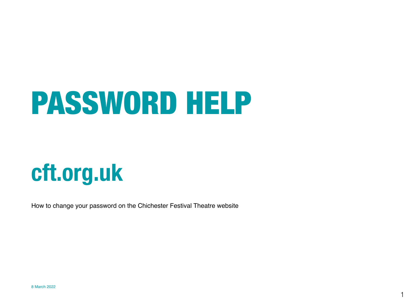## PASSWORD HELP

### [cft.org.uk](http://cft.org.uk)

How to change your password on the Chichester Festival Theatre website

1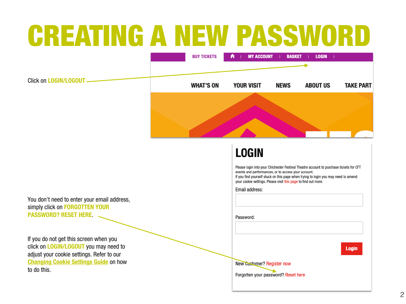### CREATING A NEW PASSWORD



#### **LOGIN**

Please login into your Chichester Festival Theatre account to purchase tickets for CFT events and performances, or to access your account. If you find yourself stuck on this page when trying to login you may need to amend

your cookie settings. Please visit this page to find out more.

Email address:

Password:

**Login** 

New Customer? Register now

Forgotten your password? Reset here

You don't need to enter your email address, simply click on FORGOTTEN YOUR PASSWORD? RESET HERE.

If you do not get this screen when you click on **LOGIN/LOGOUT** you may need to adjust your cookie settings. Refer to our **[Changing Cookie Settings Guide](http://www.cft.org.uk/your-visit/booking-information/booking-support) on how** to do this.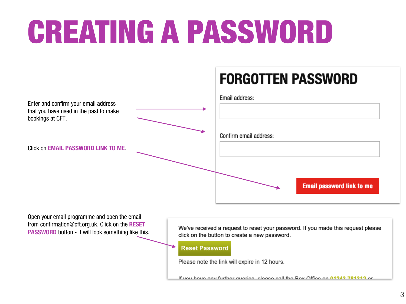# CREATING A PASSWORD

#### **FORGOTTEN PASSWORD**

| Enter and confirm your email address<br>that you have used in the past to make<br>bookings at CFT. | Email address:                   |
|----------------------------------------------------------------------------------------------------|----------------------------------|
| <b>Click on EMAIL PASSWORD LINK TO ME.</b>                                                         | Confirm email address:           |
|                                                                                                    | <b>Email password link to me</b> |

Open your email programme and open the email from confirmation@cft.org.uk. Click on the RESET **PASSWORD** button - it will look something like this.

We've received a request to reset your password. If you made this request please click on the button to create a new password.

**Reset Password** 

Please note the link will expire in 12 hours.

If you have any further queries places sall the Dev Office on 04242 704242 o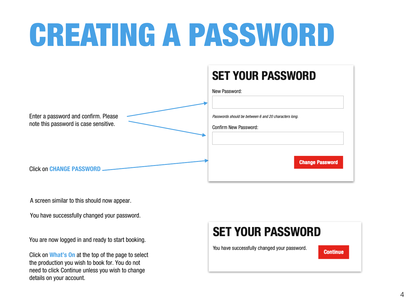## CREATING A PASSWORD



A screen similar to this should now appear.

You have successfully changed your password.

You are now logged in and ready to start booking.

Click on What's On at the top of the page to select the production you wish to book for. You do not need to click Continue unless you wish to change details on your account.

#### **SET YOUR PASSWORD**

You have successfully changed your password.